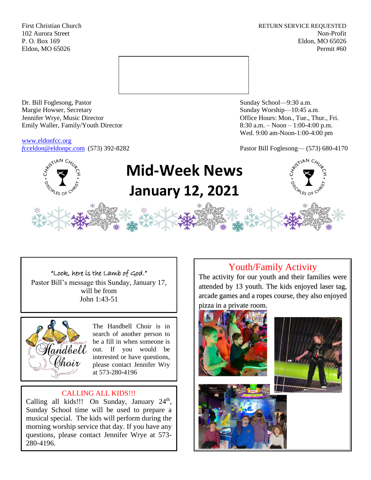First Christian Church **RETURN SERVICE REQUESTED** 102 Aurora Street Non-Profit P. O. Box 169 Eldon, MO 65026 Eldon, MO 65026 Permit #60



Dr. Bill Foglesong, Pastor Sunday School—9:30 a.m. Margie Howser, Secretary Sunday Worship—10:45 a.m. Jennifer Wrye, Music Director Office Hours: Mon., Tue., Thur., Fri. Emily Waller, Family/Youth Director 8:30 a.m. – Noon – 1:00-4:00 p.m.

[www.eldonfcc.org](http://www.eldonfcc.org/)

Wed. 9:00 am-Noon-1:00-4:00 pm

*f*[cceldon@eldonpc.com](mailto:fcceldon@eldonpc.com) (573) 392-8282 Pastor Bill Foglesong— (573) 680-4170



# **Mid-Week News January 12, 2021**

# "Look, here is the Lamb of God."

Pastor Bill's message this Sunday, January 17, will be from John 1:43-51



The Handbell Choir is in search of another person to be a fill in when someone is out. If you would be interested or have questions, please contact Jennifer Wry at 573-280-4196

# CALLING ALL KIDS!!!

Calling all kids!!! On Sunday, January  $24<sup>th</sup>$ , Sunday School time will be used to prepare a musical special. The kids will perform during the morning worship service that day. If you have any questions, please contact Jennifer Wrye at 573- 280-4196.

# Youth/Family Activity

The activity for our youth and their families were attended by 13 youth. The kids enjoyed laser tag, arcade games and a ropes course, they also enjoyed pizza in a private room.